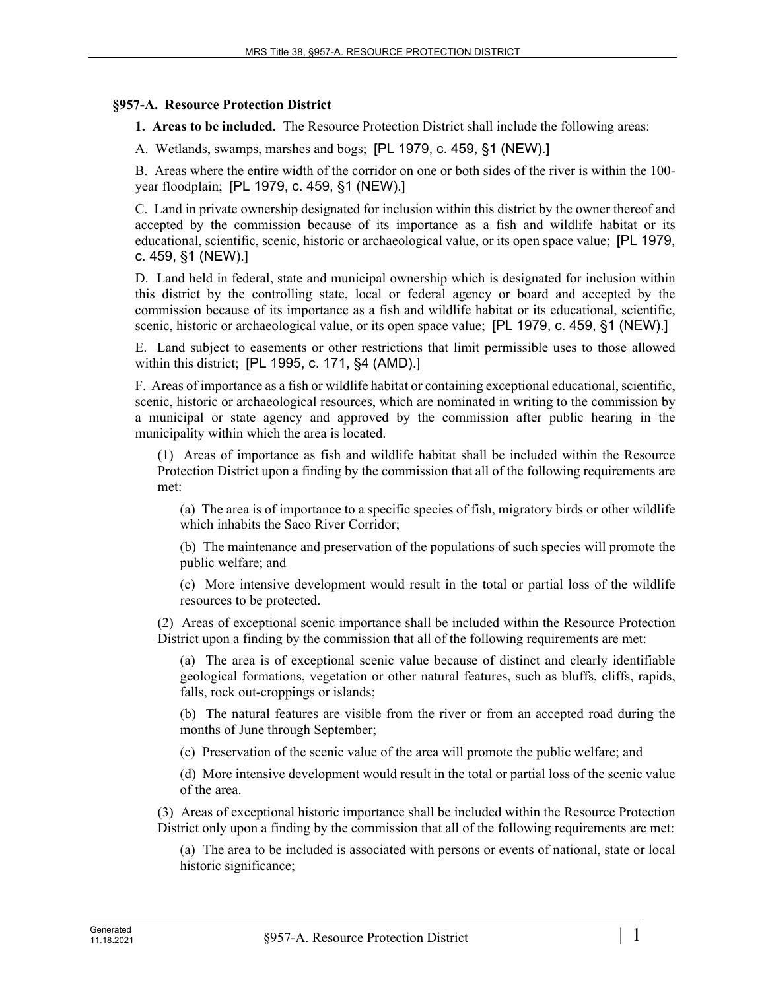## **§957-A. Resource Protection District**

**1. Areas to be included.** The Resource Protection District shall include the following areas:

A. Wetlands, swamps, marshes and bogs; [PL 1979, c. 459, §1 (NEW).]

B. Areas where the entire width of the corridor on one or both sides of the river is within the 100 year floodplain; [PL 1979, c. 459, §1 (NEW).]

C. Land in private ownership designated for inclusion within this district by the owner thereof and accepted by the commission because of its importance as a fish and wildlife habitat or its educational, scientific, scenic, historic or archaeological value, or its open space value; [PL 1979, c. 459, §1 (NEW).]

D. Land held in federal, state and municipal ownership which is designated for inclusion within this district by the controlling state, local or federal agency or board and accepted by the commission because of its importance as a fish and wildlife habitat or its educational, scientific, scenic, historic or archaeological value, or its open space value; [PL 1979, c. 459, §1 (NEW).]

E. Land subject to easements or other restrictions that limit permissible uses to those allowed within this district; [PL 1995, c. 171, §4 (AMD).]

F. Areas of importance as a fish or wildlife habitat or containing exceptional educational, scientific, scenic, historic or archaeological resources, which are nominated in writing to the commission by a municipal or state agency and approved by the commission after public hearing in the municipality within which the area is located.

(1) Areas of importance as fish and wildlife habitat shall be included within the Resource Protection District upon a finding by the commission that all of the following requirements are met:

(a) The area is of importance to a specific species of fish, migratory birds or other wildlife which inhabits the Saco River Corridor;

(b) The maintenance and preservation of the populations of such species will promote the public welfare; and

(c) More intensive development would result in the total or partial loss of the wildlife resources to be protected.

(2) Areas of exceptional scenic importance shall be included within the Resource Protection District upon a finding by the commission that all of the following requirements are met:

(a) The area is of exceptional scenic value because of distinct and clearly identifiable geological formations, vegetation or other natural features, such as bluffs, cliffs, rapids, falls, rock out-croppings or islands;

(b) The natural features are visible from the river or from an accepted road during the months of June through September;

(c) Preservation of the scenic value of the area will promote the public welfare; and

(d) More intensive development would result in the total or partial loss of the scenic value of the area.

(3) Areas of exceptional historic importance shall be included within the Resource Protection District only upon a finding by the commission that all of the following requirements are met:

(a) The area to be included is associated with persons or events of national, state or local historic significance;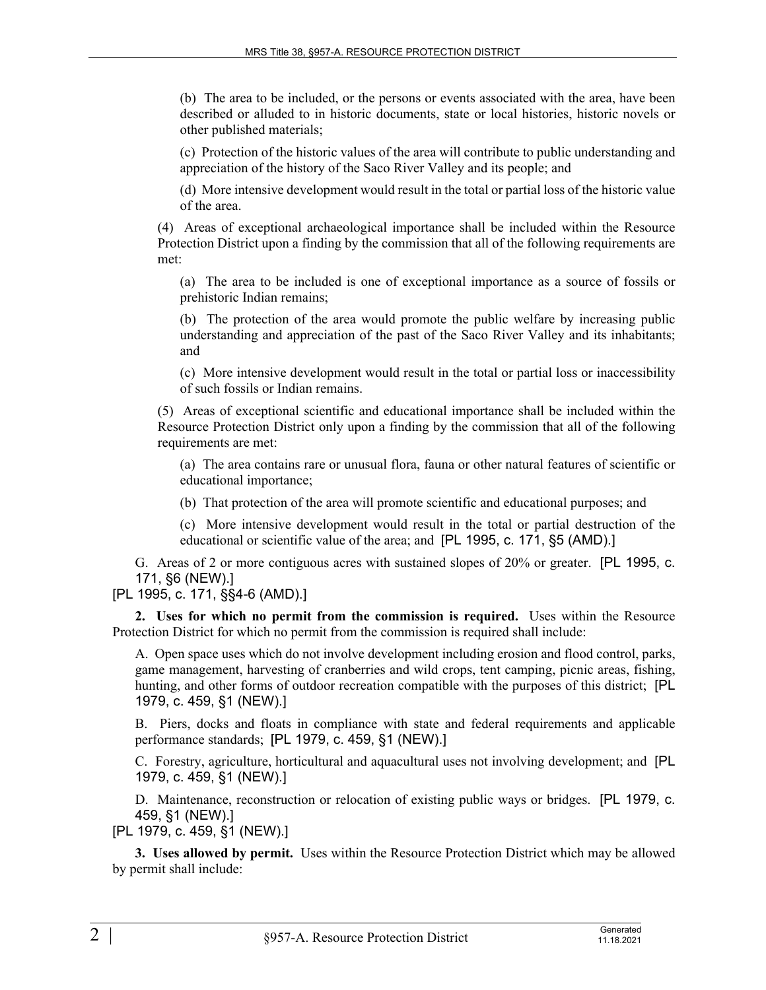(b) The area to be included, or the persons or events associated with the area, have been described or alluded to in historic documents, state or local histories, historic novels or other published materials;

(c) Protection of the historic values of the area will contribute to public understanding and appreciation of the history of the Saco River Valley and its people; and

(d) More intensive development would result in the total or partial loss of the historic value of the area.

(4) Areas of exceptional archaeological importance shall be included within the Resource Protection District upon a finding by the commission that all of the following requirements are met:

(a) The area to be included is one of exceptional importance as a source of fossils or prehistoric Indian remains;

(b) The protection of the area would promote the public welfare by increasing public understanding and appreciation of the past of the Saco River Valley and its inhabitants; and

(c) More intensive development would result in the total or partial loss or inaccessibility of such fossils or Indian remains.

(5) Areas of exceptional scientific and educational importance shall be included within the Resource Protection District only upon a finding by the commission that all of the following requirements are met:

(a) The area contains rare or unusual flora, fauna or other natural features of scientific or educational importance;

(b) That protection of the area will promote scientific and educational purposes; and

(c) More intensive development would result in the total or partial destruction of the educational or scientific value of the area; and [PL 1995, c. 171, §5 (AMD).]

G. Areas of 2 or more contiguous acres with sustained slopes of 20% or greater. [PL 1995, c. 171, §6 (NEW).]

## [PL 1995, c. 171, §§4-6 (AMD).]

**2. Uses for which no permit from the commission is required.** Uses within the Resource Protection District for which no permit from the commission is required shall include:

A. Open space uses which do not involve development including erosion and flood control, parks, game management, harvesting of cranberries and wild crops, tent camping, picnic areas, fishing, hunting, and other forms of outdoor recreation compatible with the purposes of this district; [PL 1979, c. 459, §1 (NEW).]

B. Piers, docks and floats in compliance with state and federal requirements and applicable performance standards; [PL 1979, c. 459, §1 (NEW).]

C. Forestry, agriculture, horticultural and aquacultural uses not involving development; and [PL 1979, c. 459, §1 (NEW).]

D. Maintenance, reconstruction or relocation of existing public ways or bridges. [PL 1979, c. 459, §1 (NEW).]

[PL 1979, c. 459, §1 (NEW).]

**3. Uses allowed by permit.** Uses within the Resource Protection District which may be allowed by permit shall include: